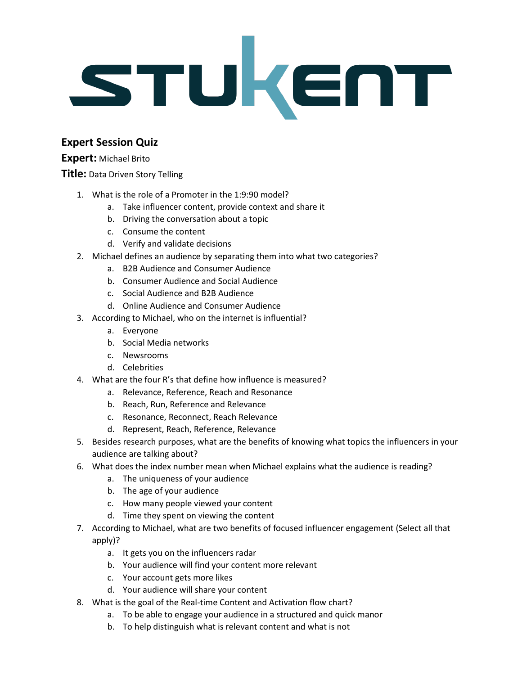

## **Expert Session Quiz**

## **Expert:** Michael Brito

## **Title:** Data Driven Story Telling

- 1. What is the role of a Promoter in the 1:9:90 model?
	- a. Take influencer content, provide context and share it
	- b. Driving the conversation about a topic
	- c. Consume the content
	- d. Verify and validate decisions
- 2. Michael defines an audience by separating them into what two categories?
	- a. B2B Audience and Consumer Audience
	- b. Consumer Audience and Social Audience
	- c. Social Audience and B2B Audience
	- d. Online Audience and Consumer Audience
- 3. According to Michael, who on the internet is influential?
	- a. Everyone
	- b. Social Media networks
	- c. Newsrooms
	- d. Celebrities
- 4. What are the four R's that define how influence is measured?
	- a. Relevance, Reference, Reach and Resonance
	- b. Reach, Run, Reference and Relevance
	- c. Resonance, Reconnect, Reach Relevance
	- d. Represent, Reach, Reference, Relevance
- 5. Besides research purposes, what are the benefits of knowing what topics the influencers in your audience are talking about?
- 6. What does the index number mean when Michael explains what the audience is reading?
	- a. The uniqueness of your audience
	- b. The age of your audience
	- c. How many people viewed your content
	- d. Time they spent on viewing the content
- 7. According to Michael, what are two benefits of focused influencer engagement (Select all that apply)?
	- a. It gets you on the influencers radar
	- b. Your audience will find your content more relevant
	- c. Your account gets more likes
	- d. Your audience will share your content
- 8. What is the goal of the Real-time Content and Activation flow chart?
	- a. To be able to engage your audience in a structured and quick manor
	- b. To help distinguish what is relevant content and what is not